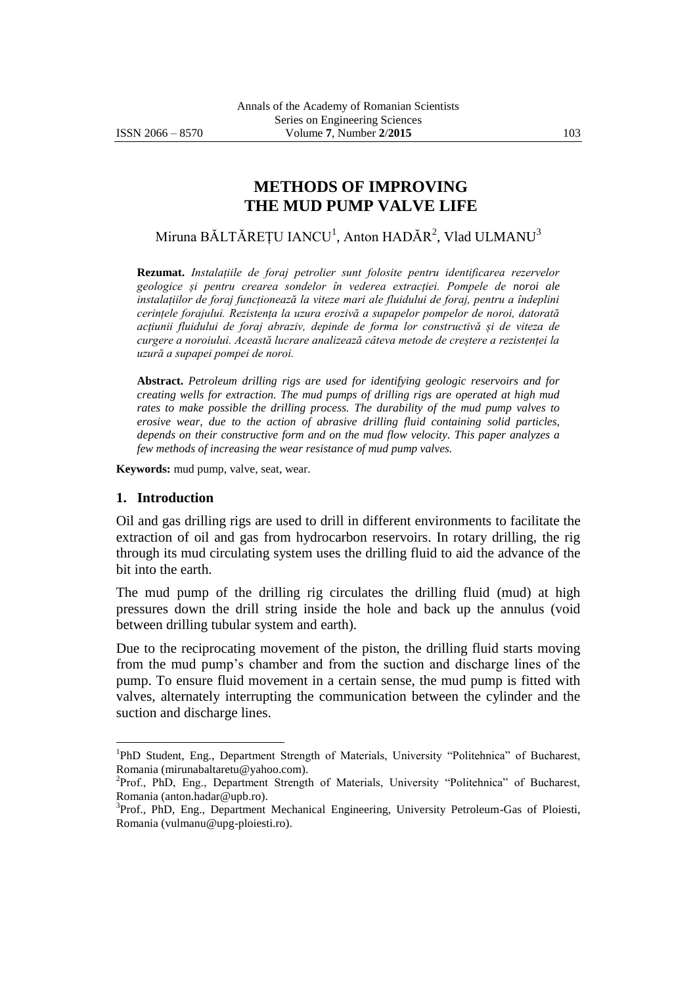# **METHODS OF IMPROVING THE MUD PUMP VALVE LIFE**

# Miruna BĂLTĂREȚU IANCU<sup>1</sup>, Anton HADĂR<sup>2</sup>, Vlad ULMANU<sup>3</sup>

**Rezumat.** *Instalațiile de foraj petrolier sunt folosite pentru identificarea rezervelor geologice și pentru crearea sondelor în vederea extracției. Pompele de noroi ale instalațiilor de foraj funcționează la viteze mari ale fluidului de foraj, pentru a îndeplini cerințele forajului. Rezistența la uzura erozivă a supapelor pompelor de noroi, datorată acțiunii fluidului de foraj abraziv, depinde de forma lor constructivă și de viteza de curgere a noroiului. Această lucrare analizează câteva metode de creștere a rezistenței la uzură a supapei pompei de noroi.* 

**Abstract.** *Petroleum drilling rigs are used for identifying geologic reservoirs and for creating wells for extraction. The mud pumps of drilling rigs are operated at high mud rates to make possible the drilling process. The durability of the mud pump valves to erosive wear, due to the action of abrasive drilling fluid containing solid particles, depends on their constructive form and on the mud flow velocity. This paper analyzes a few methods of increasing the wear resistance of mud pump valves.* 

**Keywords:** mud pump, valve, seat, wear.

#### **1. Introduction**

 $\overline{a}$ 

Oil and gas drilling rigs are used to drill in different environments to facilitate the extraction of oil and gas from hydrocarbon reservoirs. In rotary drilling, the rig through its mud circulating system uses the drilling fluid to aid the advance of the bit into the earth.

The mud pump of the drilling rig circulates the drilling fluid (mud) at high pressures down the drill string inside the hole and back up the annulus (void between drilling tubular system and earth).

Due to the reciprocating movement of the piston, the drilling fluid starts moving from the mud pump's chamber and from the suction and discharge lines of the pump. To ensure fluid movement in a certain sense, the mud pump is fitted with valves, alternately interrupting the communication between the cylinder and the suction and discharge lines.

<sup>&</sup>lt;sup>1</sup>PhD Student, Eng., Department Strength of Materials, University "Politehnica" of Bucharest, Romania [\(mirunabaltaretu@yahoo.com\)](mailto:mirunabaltaretu@yahoo.com).

<sup>&</sup>lt;sup>2</sup>Prof., PhD, Eng., Department Strength of Materials, University "Politehnica" of Bucharest, Romania [\(anton.hadar@upb.ro\)](mailto:anton.hadar@upb.ro).

<sup>&</sup>lt;sup>3</sup>Prof., PhD, Eng., Department Mechanical Engineering, University Petroleum-Gas of Ploiesti, Romania [\(vulmanu@upg-ploiesti.ro\)](mailto:vulmanu@upg-ploiesti.ro).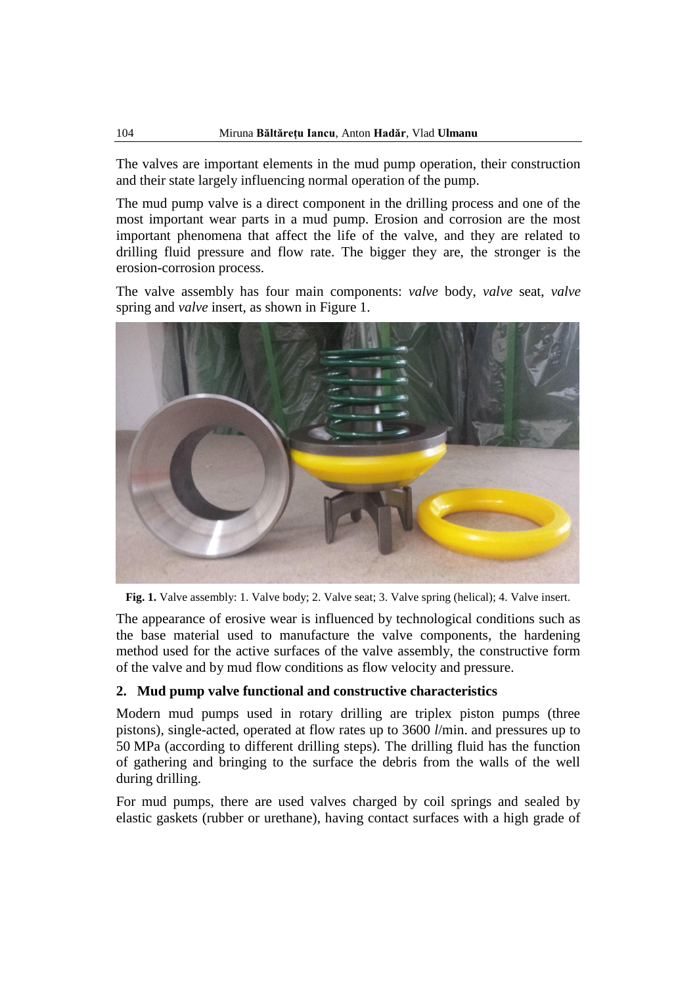The valves are important elements in the mud pump operation, their construction and their state largely influencing normal operation of the pump.

The mud pump valve is a direct component in the drilling process and one of the most important wear parts in a mud pump. Erosion and corrosion are the most important phenomena that affect the life of the valve, and they are related to drilling fluid pressure and flow rate. The bigger they are, the stronger is the erosion-corrosion process.

The valve assembly has four main components: *valve* body, *valve* seat, *valve* spring and *valve* insert, as shown in Figure 1.



Fig. 1. Valve assembly: 1. Valve body; 2. Valve seat; 3. Valve spring (helical); 4. Valve insert.

The appearance of erosive wear is influenced by technological conditions such as the base material used to manufacture the valve components, the hardening method used for the active surfaces of the valve assembly, the constructive form of the valve and by mud flow conditions as flow velocity and pressure.

## **2. Mud pump valve functional and constructive characteristics**

Modern mud pumps used in rotary drilling are triplex piston pumps (three pistons), single-acted, operated at flow rates up to 3600 *l*/min. and pressures up to 50 MPa (according to different drilling steps). The drilling fluid has the function of gathering and bringing to the surface the debris from the walls of the well during drilling.

For mud pumps, there are used valves charged by coil springs and sealed by elastic gaskets (rubber or urethane), having contact surfaces with a high grade of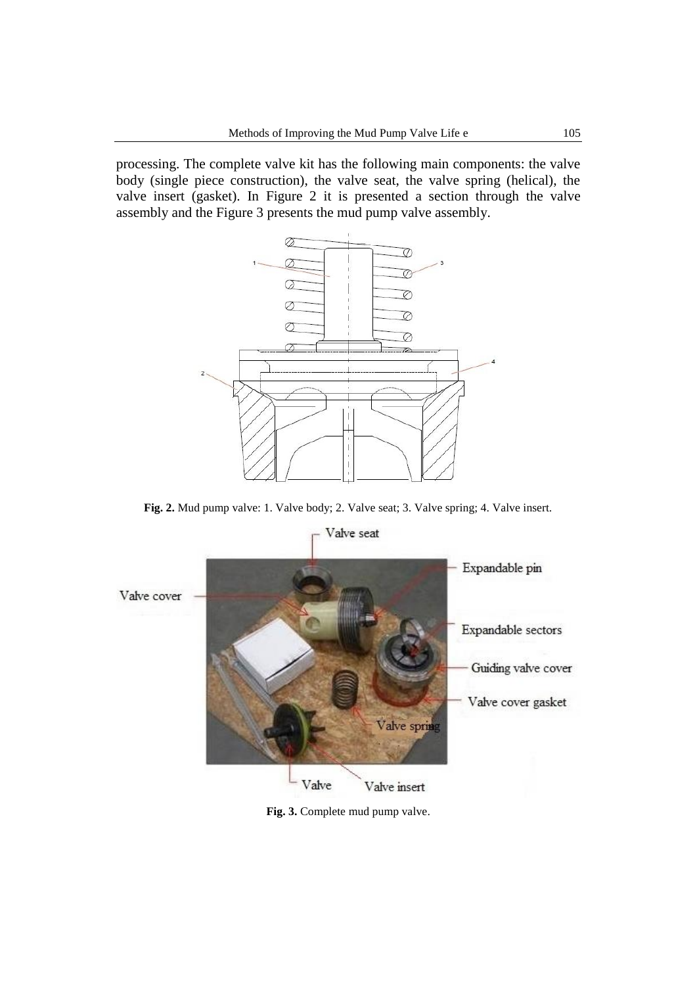processing. The complete valve kit has the following main components: the valve body (single piece construction), the valve seat, the valve spring (helical), the valve insert (gasket). In Figure 2 it is presented a section through the valve assembly and the Figure 3 presents the mud pump valve assembly.



**Fig. 2.** Mud pump valve: 1. Valve body; 2. Valve seat; 3. Valve spring; 4. Valve insert.



**Fig. 3.** Complete mud pump valve.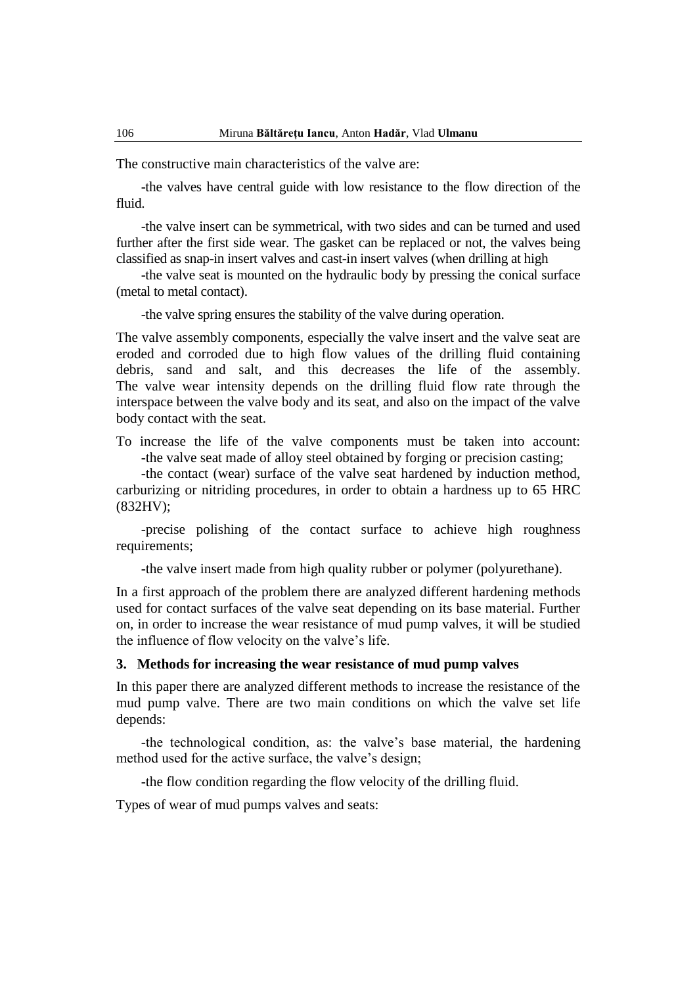The constructive main characteristics of the valve are:

-the valves have central guide with low resistance to the flow direction of the fluid.

-the valve insert can be symmetrical, with two sides and can be turned and used further after the first side wear. The gasket can be replaced or not, the valves being classified as snap-in insert valves and cast-in insert valves (when drilling at high

-the valve seat is mounted on the hydraulic body by pressing the conical surface (metal to metal contact).

-the valve spring ensures the stability of the valve during operation.

The valve assembly components, especially the valve insert and the valve seat are eroded and corroded due to high flow values of the drilling fluid containing debris, sand and salt, and this decreases the life of the assembly. The valve wear intensity depends on the drilling fluid flow rate through the interspace between the valve body and its seat, and also on the impact of the valve body contact with the seat.

To increase the life of the valve components must be taken into account: -the valve seat made of alloy steel obtained by forging or precision casting;

-the contact (wear) surface of the valve seat hardened by induction method, carburizing or nitriding procedures, in order to obtain a hardness up to 65 HRC (832HV);

-precise polishing of the contact surface to achieve high roughness requirements;

-the valve insert made from high quality rubber or polymer (polyurethane).

In a first approach of the problem there are analyzed different hardening methods used for contact surfaces of the valve seat depending on its base material. Further on, in order to increase the wear resistance of mud pump valves, it will be studied the influence of flow velocity on the valve's life.

#### **3. Methods for increasing the wear resistance of mud pump valves**

In this paper there are analyzed different methods to increase the resistance of the mud pump valve. There are two main conditions on which the valve set life depends:

-the technological condition, as: the valve's base material, the hardening method used for the active surface, the valve's design;

-the flow condition regarding the flow velocity of the drilling fluid.

Types of wear of mud pumps valves and seats: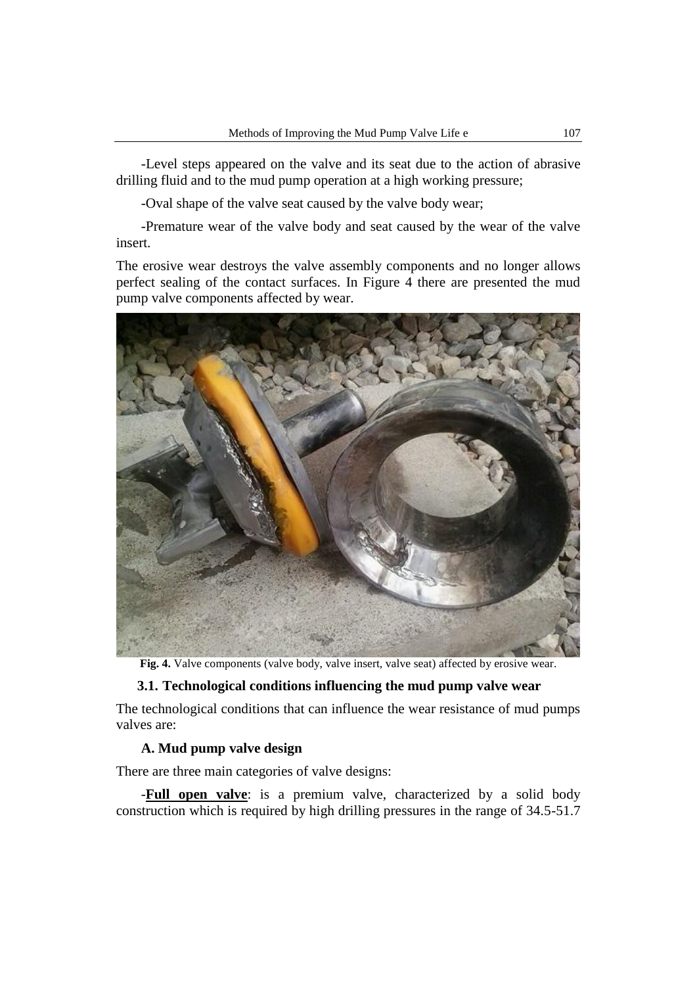-Level steps appeared on the valve and its seat due to the action of abrasive drilling fluid and to the mud pump operation at a high working pressure;

-Oval shape of the valve seat caused by the valve body wear;

-Premature wear of the valve body and seat caused by the wear of the valve insert.

The erosive wear destroys the valve assembly components and no longer allows perfect sealing of the contact surfaces. In Figure 4 there are presented the mud pump valve components affected by wear.



**Fig. 4.** Valve components (valve body, valve insert, valve seat) affected by erosive wear.

#### **3.1. Technological conditions influencing the mud pump valve wear**

The technological conditions that can influence the wear resistance of mud pumps valves are:

#### **A. Mud pump valve design**

There are three main categories of valve designs:

-**Full open valve**: is a premium valve, characterized by a solid body construction which is required by high drilling pressures in the range of 34.5-51.7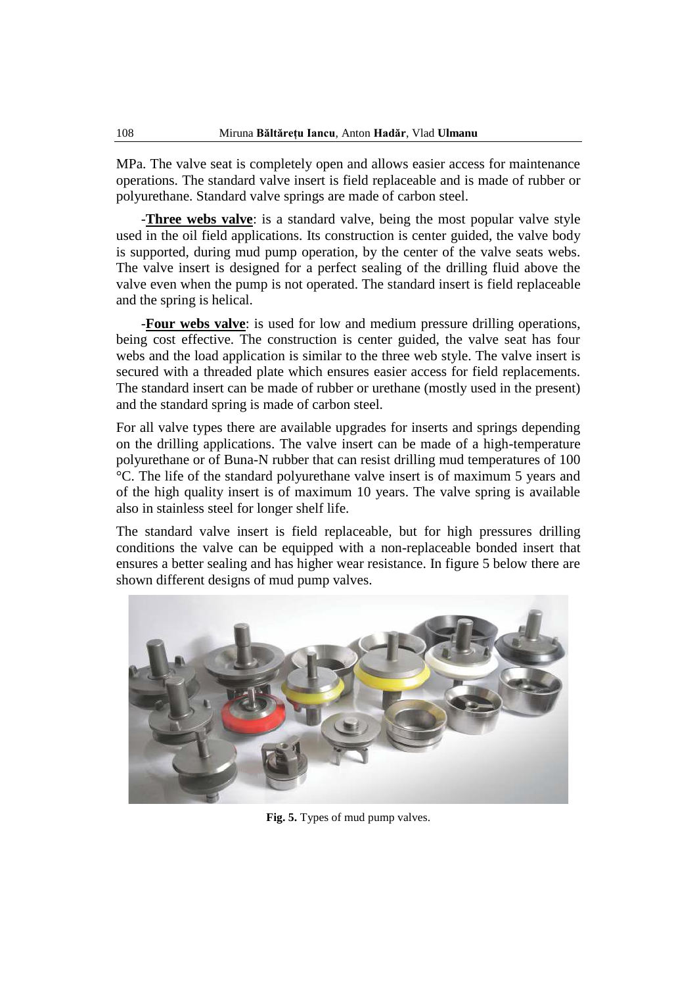MPa. The valve seat is completely open and allows easier access for maintenance operations. The standard valve insert is field replaceable and is made of rubber or polyurethane. Standard valve springs are made of carbon steel.

-**Three webs valve**: is a standard valve, being the most popular valve style used in the oil field applications. Its construction is center guided, the valve body is supported, during mud pump operation, by the center of the valve seats webs. The valve insert is designed for a perfect sealing of the drilling fluid above the valve even when the pump is not operated. The standard insert is field replaceable and the spring is helical.

-**Four webs valve**: is used for low and medium pressure drilling operations, being cost effective. The construction is center guided, the valve seat has four webs and the load application is similar to the three web style. The valve insert is secured with a threaded plate which ensures easier access for field replacements. The standard insert can be made of rubber or urethane (mostly used in the present) and the standard spring is made of carbon steel.

For all valve types there are available upgrades for inserts and springs depending on the drilling applications. The valve insert can be made of a high-temperature polyurethane or of Buna-N rubber that can resist drilling mud temperatures of 100 °C. The life of the standard polyurethane valve insert is of maximum 5 years and of the high quality insert is of maximum 10 years. The valve spring is available also in stainless steel for longer shelf life.

The standard valve insert is field replaceable, but for high pressures drilling conditions the valve can be equipped with a non-replaceable bonded insert that ensures a better sealing and has higher wear resistance. In figure 5 below there are shown different designs of mud pump valves.



**Fig. 5.** Types of mud pump valves.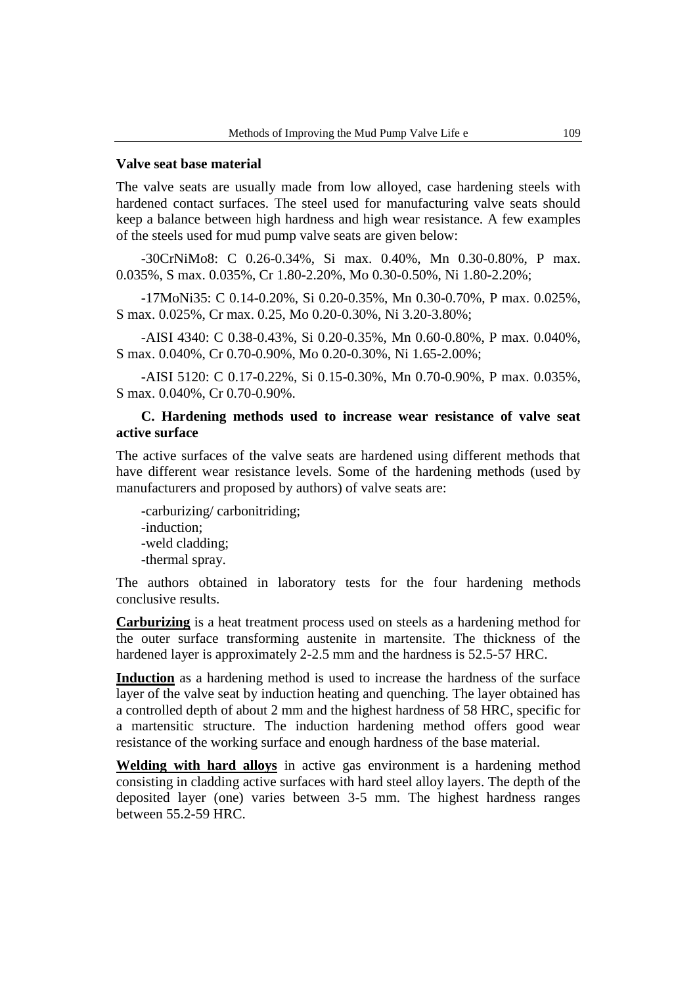#### **Valve seat base material**

The valve seats are usually made from low alloyed, case hardening steels with hardened contact surfaces. The steel used for manufacturing valve seats should keep a balance between high hardness and high wear resistance. A few examples of the steels used for mud pump valve seats are given below:

-30CrNiMo8: C 0.26-0.34%, Si max. 0.40%, Mn 0.30-0.80%, P max. 0.035%, S max. 0.035%, Cr 1.80-2.20%, Mo 0.30-0.50%, Ni 1.80-2.20%;

-17MoNi35: C 0.14-0.20%, Si 0.20-0.35%, Mn 0.30-0.70%, P max. 0.025%, S max. 0.025%, Cr max. 0.25, Mo 0.20-0.30%, Ni 3.20-3.80%;

-AISI 4340: C 0.38-0.43%, Si 0.20-0.35%, Mn 0.60-0.80%, P max. 0.040%, S max. 0.040%, Cr 0.70-0.90%, Mo 0.20-0.30%, Ni 1.65-2.00%;

-AISI 5120: C 0.17-0.22%, Si 0.15-0.30%, Mn 0.70-0.90%, P max. 0.035%, S max. 0.040%, Cr 0.70-0.90%.

### **C. Hardening methods used to increase wear resistance of valve seat active surface**

The active surfaces of the valve seats are hardened using different methods that have different wear resistance levels. Some of the hardening methods (used by manufacturers and proposed by authors) of valve seats are:

-carburizing/ carbonitriding; -induction; -weld cladding; -thermal spray.

The authors obtained in laboratory tests for the four hardening methods conclusive results.

**Carburizing** is a heat treatment process used on steels as a hardening method for the outer surface transforming austenite in martensite. The thickness of the hardened layer is approximately 2-2.5 mm and the hardness is 52.5-57 HRC.

**Induction** as a hardening method is used to increase the hardness of the surface layer of the valve seat by induction heating and quenching. The layer obtained has a controlled depth of about 2 mm and the highest hardness of 58 HRC, specific for a martensitic structure. The induction hardening method offers good wear resistance of the working surface and enough hardness of the base material.

**Welding with hard alloys** in active gas environment is a hardening method consisting in cladding active surfaces with hard steel alloy layers. The depth of the deposited layer (one) varies between 3-5 mm. The highest hardness ranges between 55.2-59 HRC.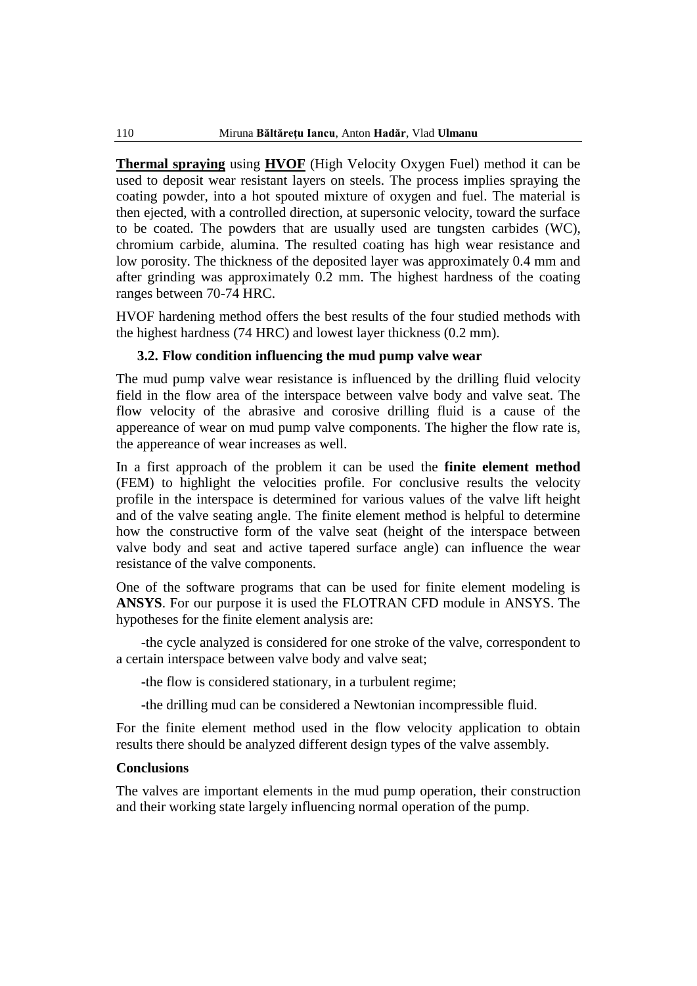**Thermal spraying** using **HVOF** (High Velocity Oxygen Fuel) method it can be used to deposit wear resistant layers on steels. The process implies spraying the coating powder, into a hot spouted mixture of oxygen and fuel. The material is then ejected, with a controlled direction, at supersonic velocity, toward the surface to be coated. The powders that are usually used are tungsten carbides (WC), chromium carbide, alumina. The resulted coating has high wear resistance and low porosity. The thickness of the deposited layer was approximately 0.4 mm and after grinding was approximately 0.2 mm. The highest hardness of the coating ranges between 70-74 HRC.

HVOF hardening method offers the best results of the four studied methods with the highest hardness (74 HRC) and lowest layer thickness (0.2 mm).

#### **3.2. Flow condition influencing the mud pump valve wear**

The mud pump valve wear resistance is influenced by the drilling fluid velocity field in the flow area of the interspace between valve body and valve seat. The flow velocity of the abrasive and corosive drilling fluid is a cause of the appereance of wear on mud pump valve components. The higher the flow rate is, the appereance of wear increases as well.

In a first approach of the problem it can be used the **finite element method** (FEM) to highlight the velocities profile. For conclusive results the velocity profile in the interspace is determined for various values of the valve lift height and of the valve seating angle. The finite element method is helpful to determine how the constructive form of the valve seat (height of the interspace between valve body and seat and active tapered surface angle) can influence the wear resistance of the valve components.

One of the software programs that can be used for finite element modeling is **ANSYS**. For our purpose it is used the FLOTRAN CFD module in ANSYS. The hypotheses for the finite element analysis are:

-the cycle analyzed is considered for one stroke of the valve, correspondent to a certain interspace between valve body and valve seat;

-the flow is considered stationary, in a turbulent regime;

-the drilling mud can be considered a Newtonian incompressible fluid.

For the finite element method used in the flow velocity application to obtain results there should be analyzed different design types of the valve assembly.

### **Conclusions**

The valves are important elements in the mud pump operation, their construction and their working state largely influencing normal operation of the pump.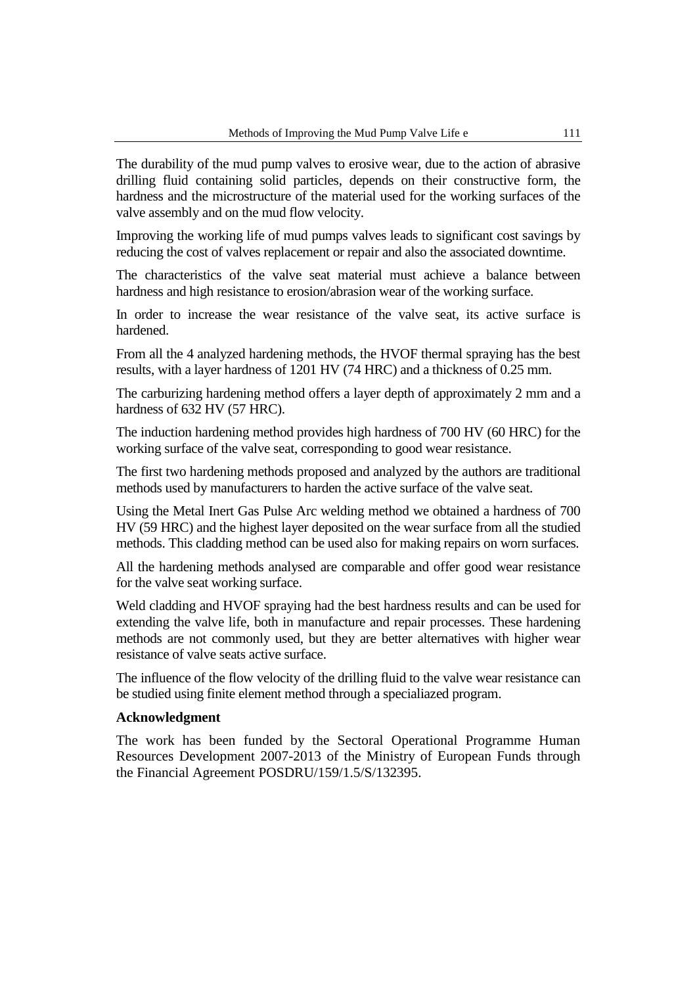The durability of the mud pump valves to erosive wear, due to the action of abrasive drilling fluid containing solid particles, depends on their constructive form, the hardness and the microstructure of the material used for the working surfaces of the valve assembly and on the mud flow velocity.

Improving the working life of mud pumps valves leads to significant cost savings by reducing the cost of valves replacement or repair and also the associated downtime.

The characteristics of the valve seat material must achieve a balance between hardness and high resistance to erosion/abrasion wear of the working surface.

In order to increase the wear resistance of the valve seat, its active surface is hardened.

From all the 4 analyzed hardening methods, the HVOF thermal spraying has the best results, with a layer hardness of 1201 HV (74 HRC) and a thickness of 0.25 mm.

The carburizing hardening method offers a layer depth of approximately 2 mm and a hardness of 632 HV (57 HRC).

The induction hardening method provides high hardness of 700 HV (60 HRC) for the working surface of the valve seat, corresponding to good wear resistance.

The first two hardening methods proposed and analyzed by the authors are traditional methods used by manufacturers to harden the active surface of the valve seat.

Using the Metal Inert Gas Pulse Arc welding method we obtained a hardness of 700 HV (59 HRC) and the highest layer deposited on the wear surface from all the studied methods. This cladding method can be used also for making repairs on worn surfaces.

All the hardening methods analysed are comparable and offer good wear resistance for the valve seat working surface.

Weld cladding and HVOF spraying had the best hardness results and can be used for extending the valve life, both in manufacture and repair processes. These hardening methods are not commonly used, but they are better alternatives with higher wear resistance of valve seats active surface.

The influence of the flow velocity of the drilling fluid to the valve wear resistance can be studied using finite element method through a specialiazed program.

#### **Acknowledgment**

The work has been funded by the Sectoral Operational Programme Human Resources Development 2007-2013 of the Ministry of European Funds through the Financial Agreement POSDRU/159/1.5/S/132395.